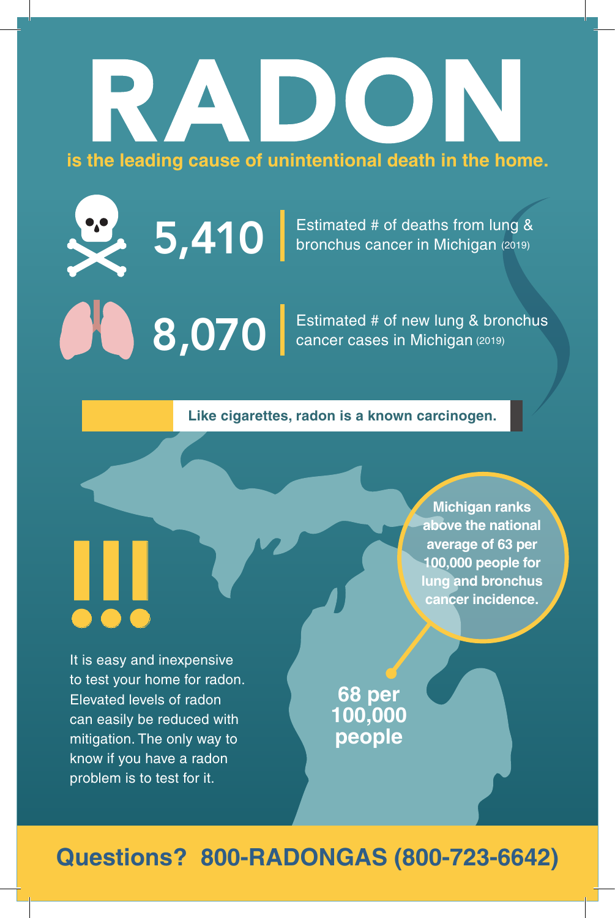# RADON **is the leading cause of unintentional death in the home.**

 $5,410$  Estimated # of deaths from lung & bronchus cancer in Michigan (2019) bronchus cancer in Michigan (2019)

8,070 Estimated # of new lung & bronchus<br>
cancer cases in Michigan (2019) cancer cases in Michigan (2019)

**Like cigarettes, radon is a known carcinogen.**

It is easy and inexpensive to test your home for radon. Elevated levels of radon can easily be reduced with mitigation. The only way to know if you have a radon problem is to test for it. !!!

**Michigan ranks above the national average of 63 per 100,000 people for lung and bronchus cancer incidence.**

**68 per 100,000 people**

**Questions? 800-RADONGAS (800-723-6642)**